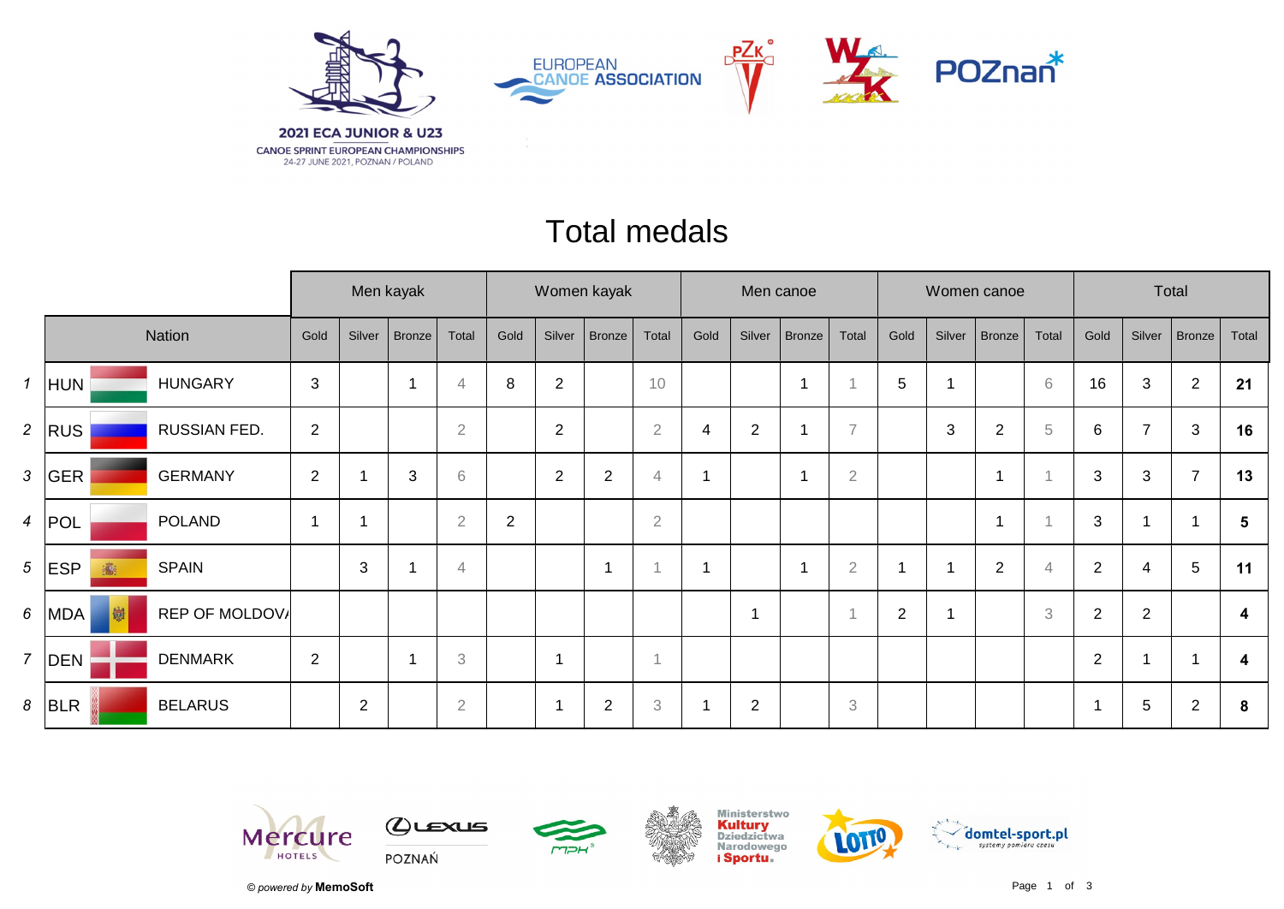

## Total medals

|                |              |                     |                |                | Men kayak     |                |                |                          | Women kayak    |                | Men canoe |                |                |                           |                |        | Women canoe    |                | Total          |                |                 |       |
|----------------|--------------|---------------------|----------------|----------------|---------------|----------------|----------------|--------------------------|----------------|----------------|-----------|----------------|----------------|---------------------------|----------------|--------|----------------|----------------|----------------|----------------|-----------------|-------|
|                | Nation       |                     | Gold           | Silver         | <b>Bronze</b> | Total          | Gold           | Silver                   | <b>Bronze</b>  | Total          | Gold      | Silver         | <b>Bronze</b>  | Total                     | Gold           | Silver | Bronze         | Total          | Gold           | Silver         | Bronze          | Total |
| $\mathbf{1}$   | HUN          | <b>HUNGARY</b>      | $\mathfrak{S}$ |                |               | $\overline{4}$ | 8              | $\overline{2}$           |                | 10             |           |                |                |                           | $\sqrt{5}$     |        |                | $\,6\,$        | 16             | 3              | $\overline{2}$  | 21    |
| 2 <sup>7</sup> | RUS          | <b>RUSSIAN FED.</b> | 2              |                |               | $\overline{2}$ |                | $\overline{2}$           |                | $\overline{2}$ | 4         | $\overline{2}$ |                | $\overline{7}$            |                | 3      | $\overline{2}$ | $\,$ 5         | 6              | $\overline{7}$ | 3               | 16    |
| $\mathfrak{Z}$ | GER          | <b>GERMANY</b>      | 2              |                | 3             | 6              |                | $\overline{2}$           | $\overline{2}$ | $\overline{4}$ |           |                |                | $\sqrt{2}$                |                |        | ſ              |                | $\mathbf{3}$   | 3              | $\overline{7}$  | 13    |
|                | $4$ POL      | <b>POLAND</b>       | -1             |                |               | $\overline{2}$ | $\overline{2}$ |                          |                | $\overline{2}$ |           |                |                |                           |                |        |                |                | 3              |                |                 | 5     |
|                | $5$ ESP<br>瀛 | <b>SPAIN</b>        |                | 3              |               | $\overline{4}$ |                |                          |                |                | ٠         |                | $\overline{A}$ | $\overline{2}$            |                |        | 2              | $\overline{4}$ | $\overline{2}$ | 4              | $5\phantom{.0}$ | 11    |
| 6 <sup>1</sup> | MDA<br>M     | REP OF MOLDOV       |                |                |               |                |                |                          |                |                |           | -1             |                |                           | $\overline{2}$ |        |                | 3              | 2              | $\overline{2}$ |                 | 4     |
| $\overline{7}$ | DEN          | <b>DENMARK</b>      | 2              |                | -1            | 3              |                | 1                        |                | $\overline{1}$ |           |                |                |                           |                |        |                |                | $\overline{2}$ |                |                 | 4     |
|                | $8$ BLR      | <b>BELARUS</b>      |                | $\overline{2}$ |               | $\overline{2}$ |                | $\overline{\phantom{a}}$ | $\overline{2}$ | 3              |           | $\overline{2}$ |                | $\ensuremath{\mathbf{3}}$ |                |        |                |                | $\overline{1}$ | 5              | $\overline{2}$  | 8     |











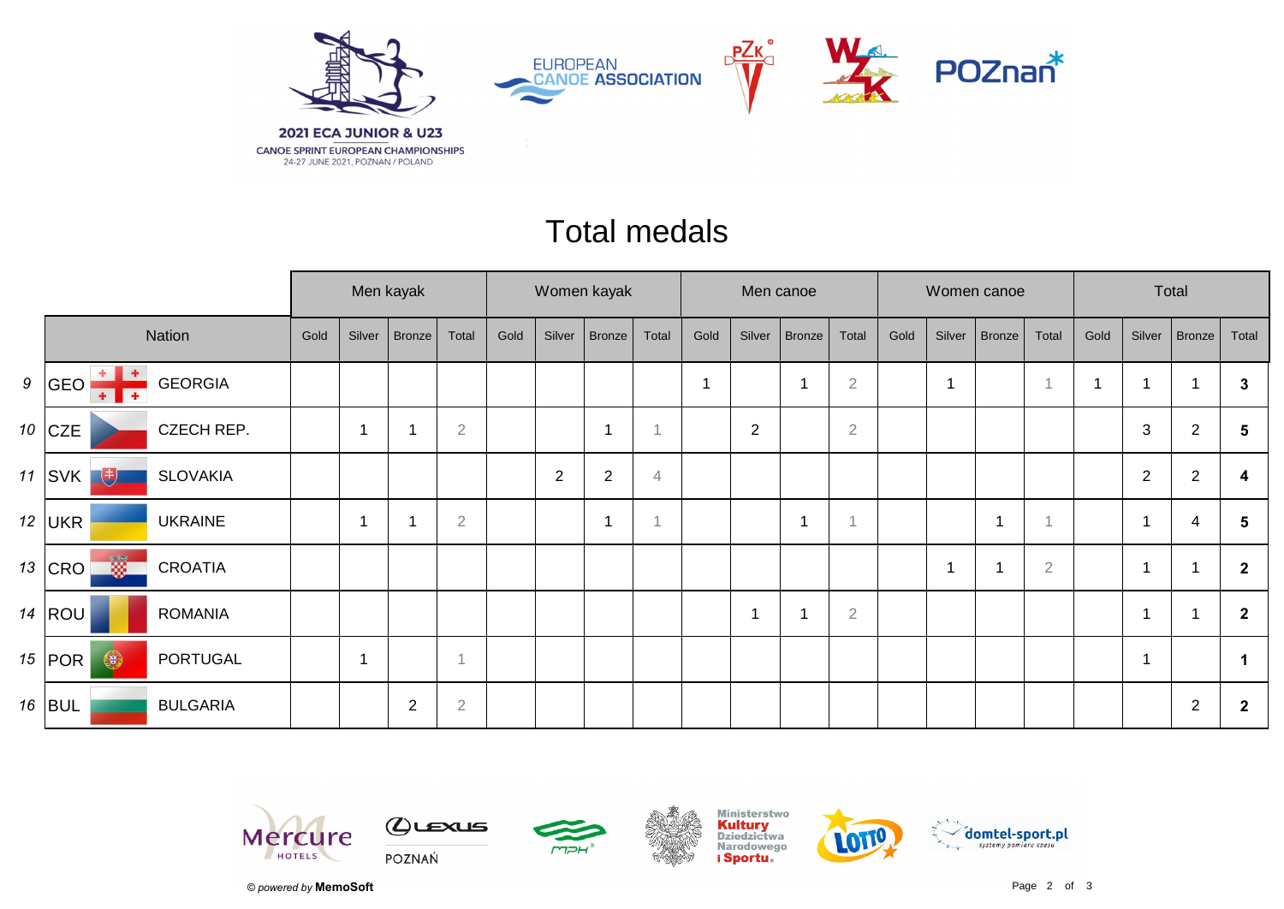

## Total medals

|        |                                                         |            | Men kayak |                |        |                | Women kayak |        |                |       | Men canoe               |                          |               |              |      |        | Women canoe |                | Total |                |                  |                |  |
|--------|---------------------------------------------------------|------------|-----------|----------------|--------|----------------|-------------|--------|----------------|-------|-------------------------|--------------------------|---------------|--------------|------|--------|-------------|----------------|-------|----------------|------------------|----------------|--|
| Nation |                                                         |            | Gold      | Silver         | Bronze | Total          | Gold        | Silver | Bronze         | Total | Gold                    | Silver                   | <b>Bronze</b> | Total        | Gold | Silver | Bronze      | Total          | Gold  | Silver         | Bronze           | Total          |  |
|        | ۰<br>9  GEO<br><b>GEORGIA</b><br>$\overline{+}$<br>$+1$ |            |           |                |        |                |             |        |                |       | $\overline{\mathbf{1}}$ |                          |               | $\sqrt{2}$   |      |        |             |                |       | 1              |                  | 3              |  |
|        | 10 $ CZE $                                              | CZECH REP. |           | 1              |        | $\overline{2}$ |             |        | -1             |       |                         | $\overline{2}$           |               | $\mathbf{2}$ |      |        |             |                |       | 3              | $\overline{2}$   | 5              |  |
|        | 11 $ SVK $<br>电<br><b>SLOVAKIA</b>                      |            |           |                |        |                |             | 2      | $\overline{c}$ | 4     |                         |                          |               |              |      |        |             |                |       | $\overline{2}$ | $\boldsymbol{2}$ | 4              |  |
|        | 12 UKR<br><b>UKRAINE</b>                                |            |           | $\overline{1}$ |        | $\overline{2}$ |             |        | 1              |       |                         |                          |               | 1            |      |        | 1           |                |       | 1              | 4                | 5              |  |
|        | $\frac{1}{2}$<br>13 CRO<br><b>CROATIA</b>               |            |           |                |        |                |             |        |                |       |                         |                          |               |              |      |        | 4           | $\overline{2}$ |       | 1              |                  | $\overline{2}$ |  |
|        | $14$ ROU<br><b>ROMANIA</b>                              |            |           |                |        |                |             |        |                |       |                         | $\overline{\phantom{a}}$ |               | $\sqrt{2}$   |      |        |             |                |       | 1              |                  | $\overline{2}$ |  |
|        | $\bigcirc$<br>15 $ $ POR $ $                            | PORTUGAL   |           | -1             |        | $\overline{1}$ |             |        |                |       |                         |                          |               |              |      |        |             |                |       | $\mathbf 1$    |                  | 1              |  |
|        | 16 $ BUL $<br><b>BULGARIA</b>                           |            |           |                | 2      | $\mathbf 2$    |             |        |                |       |                         |                          |               |              |      |        |             |                |       |                | $\overline{2}$   | $\mathbf{2}$   |  |